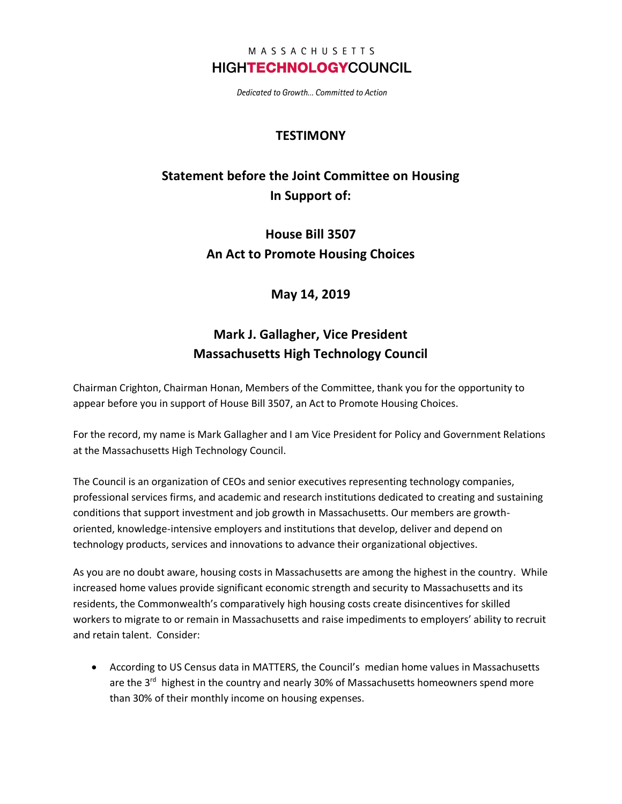#### MASSACHUSETTS **HIGHTECHNOLOGYCOUNCIL**

Dedicated to Growth... Committed to Action

### **TESTIMONY**

# **Statement before the Joint Committee on Housing In Support of:**

**House Bill 3507 An Act to Promote Housing Choices**

### **May 14, 2019**

## **Mark J. Gallagher, Vice President Massachusetts High Technology Council**

Chairman Crighton, Chairman Honan, Members of the Committee, thank you for the opportunity to appear before you in support of House Bill 3507, an Act to Promote Housing Choices.

For the record, my name is Mark Gallagher and I am Vice President for Policy and Government Relations at the Massachusetts High Technology Council.

The Council is an organization of CEOs and senior executives representing technology companies, professional services firms, and academic and research institutions dedicated to creating and sustaining conditions that support investment and job growth in Massachusetts. Our members are growthoriented, knowledge-intensive employers and institutions that develop, deliver and depend on technology products, services and innovations to advance their organizational objectives.

As you are no doubt aware, housing costs in Massachusetts are among the highest in the country. While increased home values provide significant economic strength and security to Massachusetts and its residents, the Commonwealth's comparatively high housing costs create disincentives for skilled workers to migrate to or remain in Massachusetts and raise impediments to employers' ability to recruit and retain talent. Consider:

• According to US Census data in MATTERS, the Council's median home values in Massachusetts are the 3<sup>rd</sup> highest in the country and nearly 30% of Massachusetts homeowners spend more than 30% of their monthly income on housing expenses.